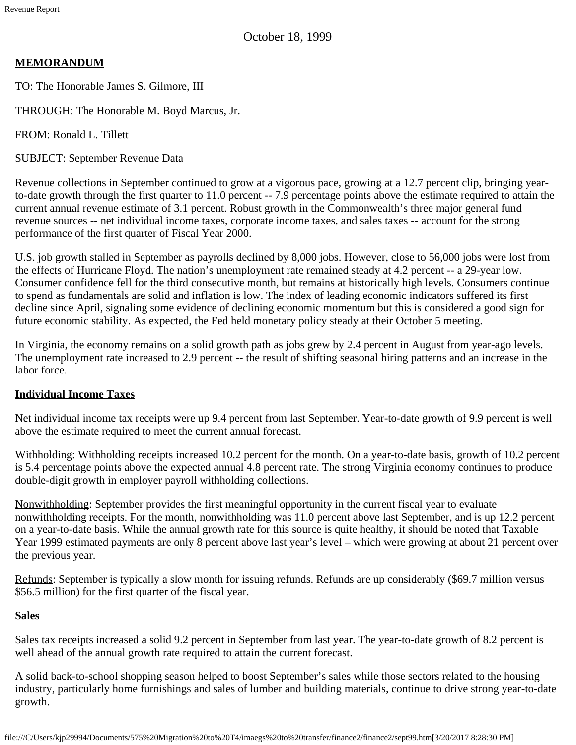October 18, 1999

## **MEMORANDUM**

TO: The Honorable James S. Gilmore, III

THROUGH: The Honorable M. Boyd Marcus, Jr.

FROM: Ronald L. Tillett

SUBJECT: September Revenue Data

Revenue collections in September continued to grow at a vigorous pace, growing at a 12.7 percent clip, bringing yearto-date growth through the first quarter to 11.0 percent -- 7.9 percentage points above the estimate required to attain the current annual revenue estimate of 3.1 percent. Robust growth in the Commonwealth's three major general fund revenue sources -- net individual income taxes, corporate income taxes, and sales taxes -- account for the strong performance of the first quarter of Fiscal Year 2000.

U.S. job growth stalled in September as payrolls declined by 8,000 jobs. However, close to 56,000 jobs were lost from the effects of Hurricane Floyd. The nation's unemployment rate remained steady at 4.2 percent -- a 29-year low. Consumer confidence fell for the third consecutive month, but remains at historically high levels. Consumers continue to spend as fundamentals are solid and inflation is low. The index of leading economic indicators suffered its first decline since April, signaling some evidence of declining economic momentum but this is considered a good sign for future economic stability. As expected, the Fed held monetary policy steady at their October 5 meeting.

In Virginia, the economy remains on a solid growth path as jobs grew by 2.4 percent in August from year-ago levels. The unemployment rate increased to 2.9 percent -- the result of shifting seasonal hiring patterns and an increase in the labor force.

## **Individual Income Taxes**

Net individual income tax receipts were up 9.4 percent from last September. Year-to-date growth of 9.9 percent is well above the estimate required to meet the current annual forecast.

Withholding: Withholding receipts increased 10.2 percent for the month. On a year-to-date basis, growth of 10.2 percent is 5.4 percentage points above the expected annual 4.8 percent rate. The strong Virginia economy continues to produce double-digit growth in employer payroll withholding collections.

Nonwithholding: September provides the first meaningful opportunity in the current fiscal year to evaluate nonwithholding receipts. For the month, nonwithholding was 11.0 percent above last September, and is up 12.2 percent on a year-to-date basis. While the annual growth rate for this source is quite healthy, it should be noted that Taxable Year 1999 estimated payments are only 8 percent above last year's level – which were growing at about 21 percent over the previous year.

Refunds: September is typically a slow month for issuing refunds. Refunds are up considerably (\$69.7 million versus \$56.5 million) for the first quarter of the fiscal year.

## **Sales**

Sales tax receipts increased a solid 9.2 percent in September from last year. The year-to-date growth of 8.2 percent is well ahead of the annual growth rate required to attain the current forecast.

A solid back-to-school shopping season helped to boost September's sales while those sectors related to the housing industry, particularly home furnishings and sales of lumber and building materials, continue to drive strong year-to-date growth.